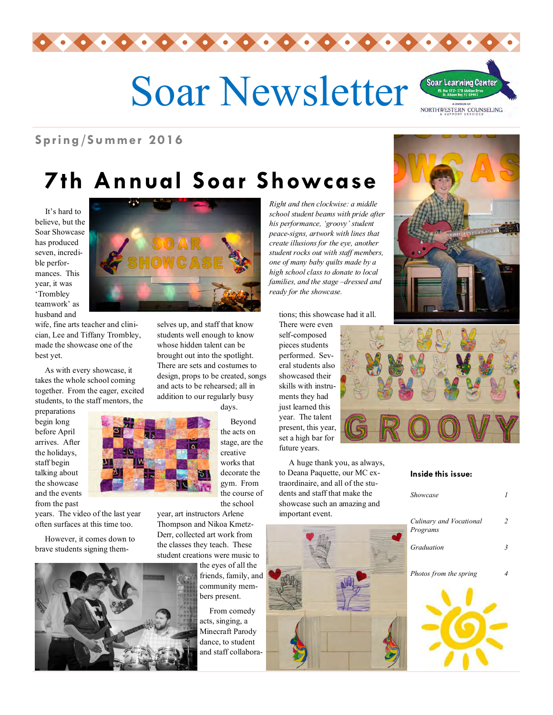

# Soar Newsletter



**Spring /Su mmer 20 16** 

# **7th Annual Soar Showcase**

 It's hard to believe, but the Soar Showcase has produced seven, incredible performances. This year, it was 'Trombley teamwork' as husband and

wife, fine arts teacher and clinician, Lee and Tiffany Trombley, made the showcase one of the best yet.

 As with every showcase, it takes the whole school coming together. From the eager, excited students, to the staff mentors, the

years. The video of the last year often surfaces at this time too. However, it comes down to brave students signing them-

preparations begin long before April arrives. After the holidays, staff begin talking about the showcase and the events from the past



selves up, and staff that know students well enough to know whose hidden talent can be brought out into the spotlight. There are sets and costumes to design, props to be created, songs and acts to be rehearsed; all in addition to our regularly busy

days.

 Beyond the acts on stage, are the creative works that decorate the gym. From the course of the school

year, art instructors Arlene Thompson and Nikoa Kmetz-Derr, collected art work from the classes they teach. These student creations were music to

> the eyes of all the friends, family, and community members present.

 From comedy acts, singing, a Minecraft Parody dance, to student and staff collabora*Right and then clockwise: a middle school student beams with pride after his performance, 'groovy' student peace-signs, artwork with lines that create illusions for the eye, another student rocks out with staff members, one of many baby quilts made by a high school class to donate to local families, and the stage –dressed and ready for the showcase.*

tions; this showcase had it all.

There were even self-composed pieces students performed. Several students also showcased their skills with instruments they had just learned this year. The talent present, this year, set a high bar for future years.

 A huge thank you, as always, to Deana Paquette, our MC extraordinaire, and all of the students and staff that make the showcase such an amazing and important event.







#### **Inside this issue:**

| Showcase                            |   |
|-------------------------------------|---|
| Culinary and Vocational<br>Programs | 2 |
| Graduation                          | 3 |
| Photos from the spring              |   |
|                                     |   |

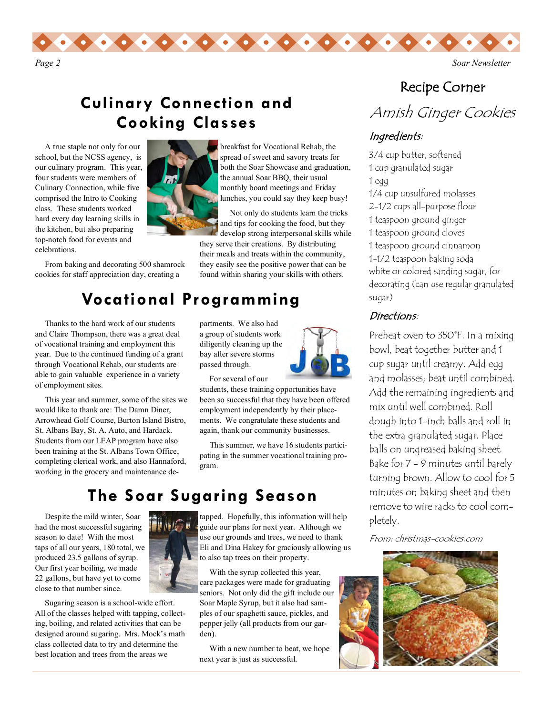

### **Culinary Connection and Cooking Classes**

 A true staple not only for our school, but the NCSS agency, is our culinary program. This year, four students were members of Culinary Connection, while five comprised the Intro to Cooking class. These students worked hard every day learning skills in the kitchen, but also preparing top-notch food for events and celebrations.

 From baking and decorating 500 shamrock cookies for staff appreciation day, creating a

breakfast for Vocational Rehab, the spread of sweet and savory treats for both the Soar Showcase and graduation, the annual Soar BBQ, their usual monthly board meetings and Friday lunches, you could say they keep busy!

 Not only do students learn the tricks and tips for cooking the food, but they develop strong interpersonal skills while

they serve their creations. By distributing their meals and treats within the community, they easily see the positive power that can be found within sharing your skills with others.

## **Vocational Programming**

 Thanks to the hard work of our students and Claire Thompson, there was a great deal of vocational training and employment this year. Due to the continued funding of a grant through Vocational Rehab, our students are able to gain valuable experience in a variety of employment sites.

 This year and summer, some of the sites we would like to thank are: The Damn Diner, Arrowhead Golf Course, Burton Island Bistro, St. Albans Bay, St. A. Auto, and Hardack. Students from our LEAP program have also been training at the St. Albans Town Office, completing clerical work, and also Hannaford, working in the grocery and maintenance de-



For several of our

partments. We also had a group of students work diligently cleaning up the bay after severe storms passed through.

students, these training opportunities have been so successful that they have been offered employment independently by their placements. We congratulate these students and again, thank our community businesses.

 This summer, we have 16 students participating in the summer vocational training program.

#### **The Soar Sugaring Season**

 Despite the mild winter, Soar had the most successful sugaring season to date! With the most taps of all our years, 180 total, we produced 23.5 gallons of syrup. Our first year boiling, we made 22 gallons, but have yet to come close to that number since.



 Sugaring season is a school-wide effort. All of the classes helped with tapping, collecting, boiling, and related activities that can be designed around sugaring. Mrs. Mock's math class collected data to try and determine the best location and trees from the areas we

tapped. Hopefully, this information will help guide our plans for next year. Although we use our grounds and trees, we need to thank Eli and Dina Hakey for graciously allowing us to also tap trees on their property.

 With the syrup collected this year, care packages were made for graduating seniors. Not only did the gift include our Soar Maple Syrup, but it also had samples of our spaghetti sauce, pickles, and pepper jelly (all products from our garden).

 With a new number to beat, we hope next year is just as successful.

#### Recipe Corner

Amish Ginger Cookies

#### Ingredients:

3/4 cup butter, softened 1 cup granulated sugar 1 egg 1/4 cup unsulfured molasses 2-1/2 cups all-purpose flour 1 teaspoon ground ginger 1 teaspoon ground cloves 1 teaspoon ground cinnamon 1-1/2 teaspoon baking soda white or colored sanding sugar, for decorating (can use regular granulated sugar)

#### Directions:

Preheat oven to 350°F. In a mixing bowl, beat together butter and 1 cup sugar until creamy. Add egg and molasses; beat until combined. Add the remaining ingredients and mix until well combined. Roll dough into 1-inch balls and roll in the extra granulated sugar. Place balls on ungreased baking sheet. Bake for 7 - 9 minutes until barely turning brown. Allow to cool for 5 minutes on baking sheet and then remove to wire racks to cool completely.

From: christmas-cookies.com

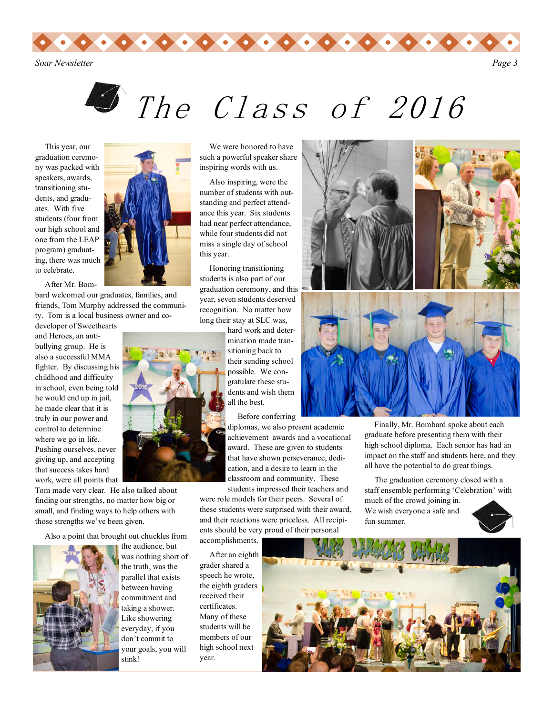*Soar Newsletter Page 3*



 This year, our graduation ceremony was packed with speakers, awards, transitioning students, and graduates. With five students (four from our high school and one from the LEAP program) graduating, there was much to celebrate.

After Mr. Bom-

bard welcomed our graduates, families, and friends, Tom Murphy addressed the community. Tom is a local business owner and co-

developer of Sweethearts and Heroes, an antibullying group. He is also a successful MMA fighter. By discussing his childhood and difficulty in school, even being told he would end up in jail, he made clear that it is truly in our power and control to determine where we go in life. Pushing ourselves, never giving up, and accepting that success takes hard work, were all points that

Tom made very clear. He also talked about finding our strengths, no matter how big or small, and finding ways to help others with those strengths we've been given.

Also a point that brought out chuckles from



the audience, but was nothing short of the truth, was the parallel that exists between having commitment and taking a shower. Like showering everyday, if you don't commit to your goals, you will stink!

 We were honored to have such a powerful speaker share inspiring words with us.

 Also inspiring, were the number of students with outstanding and perfect attendance this year. Six students had near perfect attendance, while four students did not miss a single day of school this year.

 Honoring transitioning students is also part of our graduation ceremony, and this year, seven students deserved recognition. No matter how long their stay at SLC was,

> hard work and determination made transitioning back to their sending school possible. We congratulate these students and wish them all the best.

> > Before conferring

diplomas, we also present academic achievement awards and a vocational award. These are given to students that have shown perseverance, dedication, and a desire to learn in the classroom and community. These students impressed their teachers and

were role models for their peers. Several of these students were surprised with their award, and their reactions were priceless. All recipients should be very proud of their personal accomplishments.

 After an eighth grader shared a speech he wrote, the eighth graders received their certificates. Many of these students will be members of our high school next year.



 Finally, Mr. Bombard spoke about each graduate before presenting them with their high school diploma. Each senior has had an impact on the staff and students here, and they all have the potential to do great things.

 The graduation ceremony closed with a staff ensemble performing 'Celebration' with much of the crowd joining in.

We wish everyone a safe and fun summer.